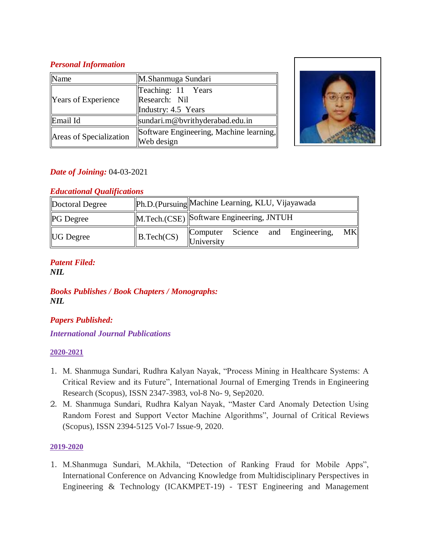#### *Personal Information*

| Name                       | M.Shanmuga Sundari                      |  |  |  |
|----------------------------|-----------------------------------------|--|--|--|
| <b>Years of Experience</b> | Teaching: 11 Years                      |  |  |  |
|                            | Research: Nil                           |  |  |  |
|                            | Industry: 4.5 Years                     |  |  |  |
| Email Id                   | sundari.m@bvrithyderabad.edu.in         |  |  |  |
| Areas of Specialization    | Software Engineering, Machine learning, |  |  |  |
|                            | Web design                              |  |  |  |



## *Date of Joining:* 04-03-2021

## *Educational Qualifications*

| Doctoral Degree  |                         | Ph.D.(Pursuing  Machine Learning, KLU, Vijayawada |  |  |                                   |           |
|------------------|-------------------------|---------------------------------------------------|--|--|-----------------------------------|-----------|
| <b>PG</b> Degree |                         | M.Tech.(CSE) Software Engineering, JNTUH          |  |  |                                   |           |
| UG Degree        | $\parallel$ B. Tech(CS) | University                                        |  |  | Computer Science and Engineering, | <b>MK</b> |

#### *Patent Filed: NIL*

### *Books Publishes / Book Chapters / Monographs: NIL*

## *Papers Published:*

## *International Journal Publications*

#### **2020-2021**

- 1. M. Shanmuga Sundari, Rudhra Kalyan Nayak, "Process Mining in Healthcare Systems: A Critical Review and its Future", International Journal of Emerging Trends in Engineering Research (Scopus), ISSN 2347-3983, vol-8 No- 9, Sep2020.
- 2. M. Shanmuga Sundari, Rudhra Kalyan Nayak, "Master Card Anomaly Detection Using Random Forest and Support Vector Machine Algorithms", [Journal of Critical Reviews](http://sersc.org/journals/index.php/ijast)  [\(Scopus\), ISSN 2394-5125 Vol-7 Issue-9, 2020.](http://sersc.org/journals/index.php/ijast)

#### **2019-2020**

1. M.Shanmuga Sundari, M.Akhila, "Detection of Ranking Fraud for Mobile Apps", International Conference on Advancing Knowledge from Multidisciplinary Perspectives in Engineering & Technology (ICAKMPET-19) - TEST Engineering and Management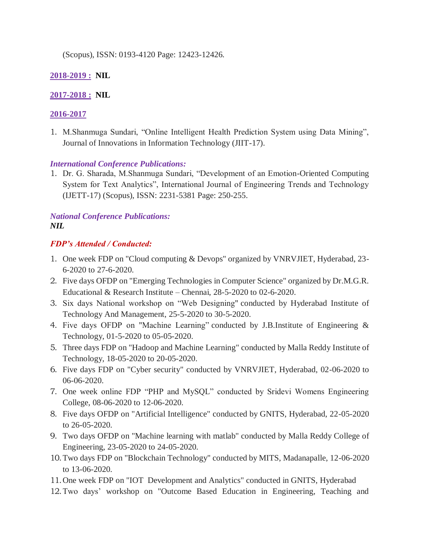(Scopus), ISSN: 0193-4120 Page: 12423-12426.

## **2018-2019 : NIL**

#### **2017-2018 : NIL**

#### **2016-2017**

1. M.Shanmuga Sundari, "Online Intelligent Health Prediction System using Data Mining", Journal of Innovations in Information Technology (JIIT-17).

#### *International Conference Publications:*

1. Dr. G. Sharada, M.Shanmuga Sundari, "Development of an Emotion-Oriented Computing System for Text Analytics", International Journal of Engineering Trends and Technology (IJETT-17) (Scopus), ISSN: 2231-5381 Page: 250-255.

#### *National Conference Publications: NIL*

### *FDP's Attended / Conducted:*

- 1. One week FDP on "Cloud computing & Devops" organized by VNRVJIET, Hyderabad, 23- 6-2020 to 27-6-2020.
- 2. Five days OFDP on "Emerging Technologies in Computer Science" organized by Dr.M.G.R. Educational & Research Institute – Chennai, 28-5-2020 to 02-6-2020.
- 3. Six days National workshop on "Web Designing" conducted by Hyderabad Institute of Technology And Management, 25-5-2020 to 30-5-2020.
- 4. Five days OFDP on "Machine Learning" conducted by J.B.Institute of Engineering & Technology, 01-5-2020 to 05-05-2020.
- 5. Three days FDP on "Hadoop and Machine Learning" conducted by Malla Reddy Institute of Technology, 18-05-2020 to 20-05-2020.
- 6. Five days FDP on "Cyber security" conducted by VNRVJIET, Hyderabad, 02-06-2020 to 06-06-2020.
- 7. One week online FDP "PHP and MySQL" conducted by Sridevi Womens Engineering College, 08-06-2020 to 12-06-2020.
- 8. Five days OFDP on "Artificial Intelligence" conducted by GNITS, Hyderabad, 22-05-2020 to 26-05-2020.
- 9. Two days OFDP on "Machine learning with matlab" conducted by Malla Reddy College of Engineering, 23-05-2020 to 24-05-2020.
- 10.Two days FDP on "Blockchain Technology" conducted by MITS, Madanapalle, 12-06-2020 to 13-06-2020.
- 11.One week FDP on "IOT Development and Analytics" conducted in GNITS, Hyderabad
- 12.Two days' workshop on "Outcome Based Education in Engineering, Teaching and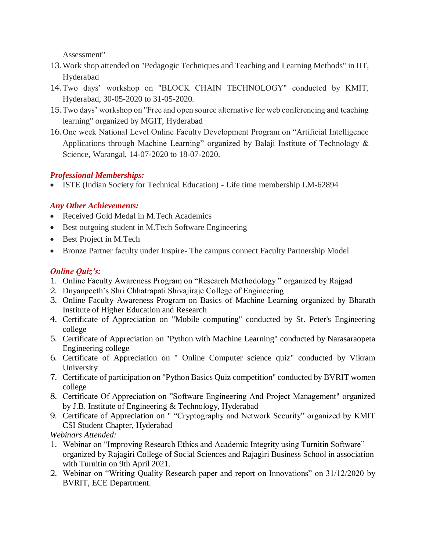Assessment"

- 13.Work shop attended on "Pedagogic Techniques and Teaching and Learning Methods" in IIT, Hyderabad
- 14.Two days' workshop on "BLOCK CHAIN TECHNOLOGY" conducted by KMIT, Hyderabad, 30-05-2020 to 31-05-2020.
- 15.Two days' workshop on "Free and open source alternative for web conferencing and teaching learning" organized by MGIT, Hyderabad
- 16.One week National Level Online Faculty Development Program on "Artificial Intelligence Applications through Machine Learning" organized by Balaji Institute of Technology & Science, Warangal, 14-07-2020 to 18-07-2020.

### *Professional Memberships:*

ISTE (Indian Society for Technical Education) - Life time membership LM-62894

## *Any Other Achievements:*

- Received Gold Medal in M.Tech Academics
- Best outgoing student in M.Tech Software Engineering
- Best Project in M.Tech
- Bronze Partner faculty under Inspire- The campus connect Faculty Partnership Model

# *Online Quiz's:*

- 1. Online Faculty Awareness Program on "Research Methodology " organized by Rajgad
- 2. Dnyanpeeth's Shri Chhatrapati Shivajiraje College of Engineering
- 3. Online Faculty Awareness Program on Basics of Machine Learning organized by Bharath Institute of Higher Education and Research
- 4. Certificate of Appreciation on "Mobile computing" conducted by St. Peter's Engineering college
- 5. Certificate of Appreciation on "Python with Machine Learning" conducted by Narasaraopeta Engineering college
- 6. Certificate of Appreciation on " Online Computer science quiz" conducted by Vikram University
- 7. Certificate of participation on "Python Basics Quiz competition" conducted by BVRIT women college
- 8. Certificate Of Appreciation on "Software Engineering And Project Management" organized by J.B. Institute of Engineering & Technology, Hyderabad
- 9. Certificate of Appreciation on " "Cryptography and Network Security" organized by KMIT CSI Student Chapter, Hyderabad

*Webinars Attended:*

- 1. Webinar on "Improving Research Ethics and Academic Integrity using Turnitin Software" organized by Rajagiri College of Social Sciences and Rajagiri Business School in association with Turnitin on 9th April 2021.
- 2. Webinar on "Writing Quality Research paper and report on Innovations" on 31/12/2020 by BVRIT, ECE Department.